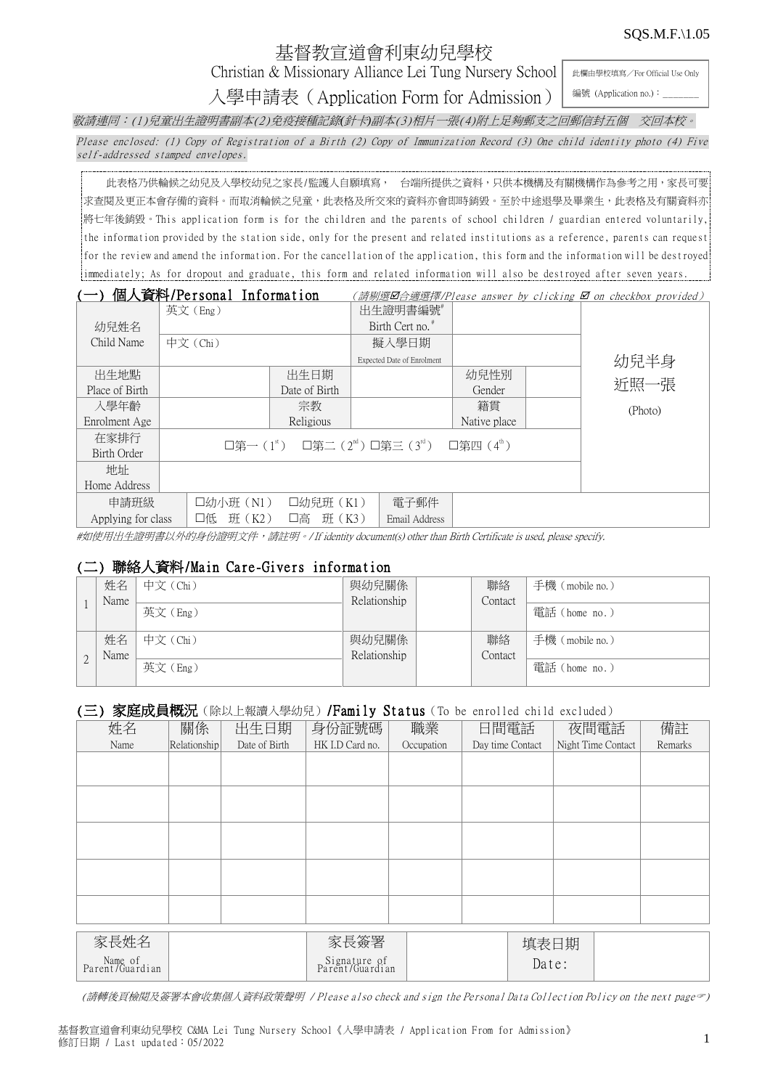#### SQS.M.F.\1.05

# 基督教宣道會利東幼兒學校

Christian & Missionary Alliance Lei Tung Nursery School

此欄由學校填寫/For Official Use Only 編號 (Application no.):

入學申請表(Application Form for Admission) 敬請連同:(1)兒童出生證明書副本(2)免疫接種記錄*(*針卡*)*副本(3)相片一張(4)附上足夠郵支之回郵信封五個 交回本校。

Please enclosed: (1) Copy of Registration of a Birth (2) Copy of Immunization Record (3) One child identity photo (4) Five self-addressed stamped envelopes.

此表格乃供輪候之幼兒及入學校幼兒之家長/監護人自願填寫, 台端所提供之資料,只供本機構及有關機構作為參考之用,家長可要 |求查閱及更正本會存備的資料。而取消輪候之兒童,此表格及所交來的資料亦會即時銷毀。至於中途退學及畢業生,此表格及有關資料亦 將七年後銷毀。This application form is for the children and the parents of school children / guardian entered voluntarily, the information provided by the station side, only for the present and related institutions as a reference, parents can request for the review and amend the information. For the cancellation of the application, this form and the information will be destroyed immediately; As for dropout and graduate, this form and related information will also be destroyed after seven years.

|                    | 個人資料/Personal Information                                                              |               |                             |              |  | (請剔選Ø合適選擇/Please answer by clicking Ø on checkbox provided) |
|--------------------|----------------------------------------------------------------------------------------|---------------|-----------------------------|--------------|--|-------------------------------------------------------------|
|                    | 英文(Eng)                                                                                |               | 出生證明書編號#                    |              |  |                                                             |
| 幼兒姓名               |                                                                                        |               | Birth Cert no. <sup>*</sup> |              |  |                                                             |
| Child Name         | 中文 (Chi)                                                                               |               | 擬入學日期                       |              |  |                                                             |
|                    |                                                                                        |               | Expected Date of Enrolment  |              |  | 幼兒半身                                                        |
| 出生地點               |                                                                                        | 出生日期          |                             | 幼兒性別         |  |                                                             |
| Place of Birth     |                                                                                        | Date of Birth |                             | Gender       |  | 近照一張                                                        |
| 入學年齡               |                                                                                        | 宗教            |                             | 籍貫           |  | (Photo)                                                     |
| Enrolment Age      |                                                                                        | Religious     |                             | Native place |  |                                                             |
| 在家排行               | □第一(1 <sup>st</sup> ) □第二(2 <sup>nd</sup> )□第三(3 <sup>rd</sup> ) □第四(4 <sup>th</sup> ) |               |                             |              |  |                                                             |
| Birth Order        |                                                                                        |               |                             |              |  |                                                             |
| 地址                 |                                                                                        |               |                             |              |  |                                                             |
| Home Address       |                                                                                        |               |                             |              |  |                                                             |
| 申請班級               | □幼小班 (N1)                                                                              | □幼兒班 (K1)     | 電子郵件                        |              |  |                                                             |
| Applying for class | 班 (K2)<br>口低                                                                           | 班 (K3)<br>口高  | Email Address               |              |  |                                                             |

#如使用出生證明書以外的身份證明文件,請註明。/ If identity document(s) other than Birth Certificate is used, please specify.

### (二) 聯絡人資料/Main Care-Givers information

| 姓名   | 中文 (Chi) | 與幼兒關係        | 聯絡      | 手機 (mobile no.) |
|------|----------|--------------|---------|-----------------|
| Name |          | Relationship | Contact |                 |
|      | 英文(Eng)  |              |         | 電話 (home no.)   |
|      |          |              |         |                 |
| 姓名   | 中文 (Chi) | 與幼兒關係        | 聯絡      | 手機 (mobile no.) |
| Name |          | Relationship | Contact |                 |
|      | 英文(Eng)  |              |         | 電話 (home no.)   |
|      |          |              |         |                 |

#### (三) 家庭成員概況 (除以上報讀入學幼兒) /Family Status (To be enrolled child excluded)

| 姓名                         | 關係           | 出生日期          | 身份証號碼                           | 職業         | 日間電話             |       | 夜間電話               | 備註      |
|----------------------------|--------------|---------------|---------------------------------|------------|------------------|-------|--------------------|---------|
| Name                       | Relationship | Date of Birth | HK I.D Card no.                 | Occupation | Day time Contact |       | Night Time Contact | Remarks |
|                            |              |               |                                 |            |                  |       |                    |         |
|                            |              |               |                                 |            |                  |       |                    |         |
|                            |              |               |                                 |            |                  |       |                    |         |
|                            |              |               |                                 |            |                  |       |                    |         |
|                            |              |               |                                 |            |                  |       |                    |         |
|                            |              |               |                                 |            |                  |       |                    |         |
|                            |              |               |                                 |            |                  |       |                    |         |
|                            |              |               |                                 |            |                  |       |                    |         |
|                            |              |               |                                 |            |                  |       |                    |         |
|                            |              |               |                                 |            |                  |       |                    |         |
|                            |              |               |                                 |            |                  |       |                    |         |
|                            |              |               |                                 |            |                  |       |                    |         |
| 家長姓名                       |              |               | 家長簽署                            |            |                  | 填表日期  |                    |         |
| Name of<br>Parent/Guardian |              |               | Signature of<br>Parent/Guardian |            |                  | Date: |                    |         |

(請轉後頁檢閱及簽署本會收集個人資料政策聲明 / Please also check and sign the Personal Data Collection Policy on the next page)